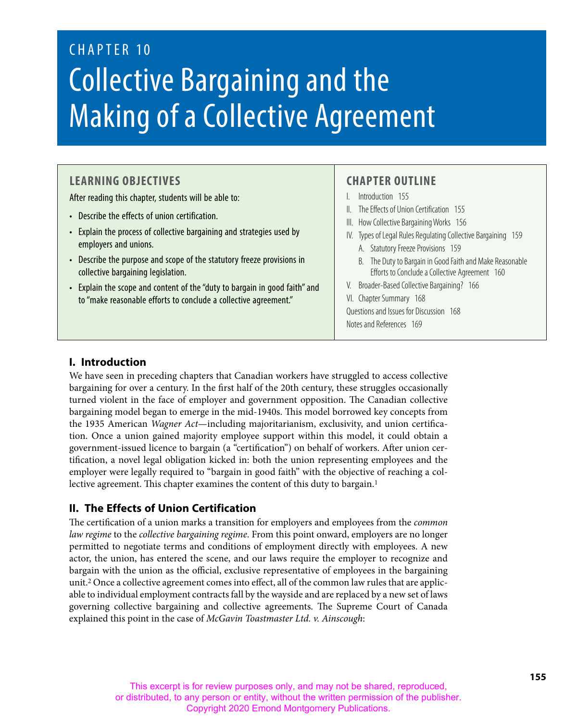# CHAPTER 10 Collective Bargaining and the Making of a Collective Agreement

# **LEARNING OBJECTIVES**

After reading this chapter, students will be able to:

- Describe the effects of union certification.
- Explain the process of collective bargaining and strategies used by employers and unions.
- Describe the purpose and scope of the statutory freeze provisions in collective bargaining legislation.
- Explain the scope and content of the "duty to bargain in good faith" and to "make reasonable efforts to conclude a collective agreement."

# **CHAPTER OUTLINE**

- I. Introduction 155
- II. The Effects of Union Certification 155
- III. How Collective Bargaining Works 156
- IV. Types of Legal Rules Regulating Collective Bargaining 159
	- A. Statutory Freeze Provisions 159
	- B. The Duty to Bargain in Good Faith and Make Reasonable Efforts to Conclude a Collective Agreement 160
- V. Broader-Based Collective Bargaining? 166
- VI. Chapter Summary 168 Questions and Issues for Discussion 168 Notes and References 169

## **I. Introduction**

We have seen in preceding chapters that Canadian workers have struggled to access collective bargaining for over a century. In the first half of the 20th century, these struggles occasionally turned violent in the face of employer and government opposition. The Canadian collective bargaining model began to emerge in the mid-1940s. This model borrowed key concepts from the 1935 American *Wagner Act*—including majoritarianism, exclusivity, and union certification. Once a union gained majority employee support within this model, it could obtain a government-issued licence to bargain (a "certification") on behalf of workers. After union certification, a novel legal obligation kicked in: both the union representing employees and the employer were legally required to "bargain in good faith" with the objective of reaching a collective agreement. This chapter examines the content of this duty to bargain.<sup>1</sup>

# **II. The Effects of Union Certification**

The certification of a union marks a transition for employers and employees from the *common law regime* to the *collective bargaining regime*. From this point onward, employers are no longer permitted to negotiate terms and conditions of employment directly with employees. A new actor, the union, has entered the scene, and our laws require the employer to recognize and bargain with the union as the official, exclusive representative of employees in the bargaining unit.2 Once a collective agreement comes into effect, all of the common law rules that are applicable to individual employment contracts fall by the wayside and are replaced by a new set of laws governing collective bargaining and collective agreements. The Supreme Court of Canada explained this point in the case of *McGavin Toastmaster Ltd. v. Ainscough*: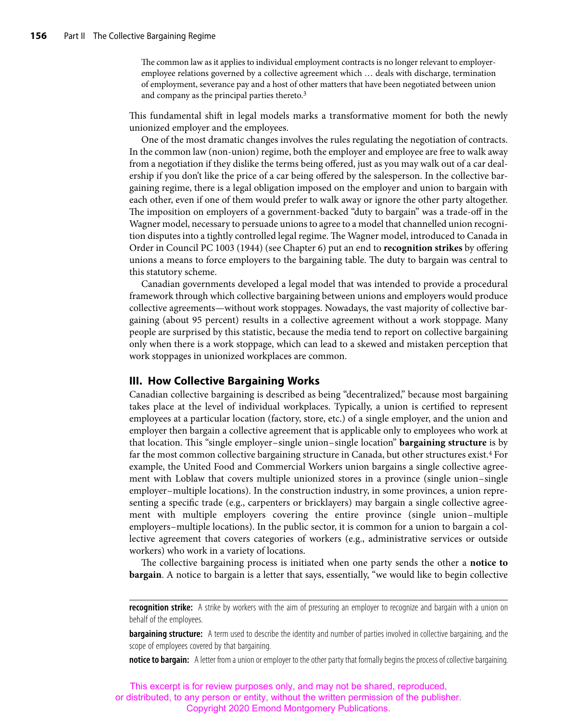The common law as it applies to individual employment contracts is no longer relevant to employeremployee relations governed by a collective agreement which … deals with discharge, termination of employment, severance pay and a host of other matters that have been negotiated between union and company as the principal parties thereto.3

This fundamental shift in legal models marks a transformative moment for both the newly unionized employer and the employees.

One of the most dramatic changes involves the rules regulating the negotiation of contracts. In the common law (non-union) regime, both the employer and employee are free to walk away from a negotiation if they dislike the terms being offered, just as you may walk out of a car dealership if you don't like the price of a car being offered by the salesperson. In the collective bargaining regime, there is a legal obligation imposed on the employer and union to bargain with each other, even if one of them would prefer to walk away or ignore the other party altogether. The imposition on employers of a government-backed "duty to bargain" was a trade-off in the Wagner model, necessary to persuade unions to agree to a model that channelled union recognition disputes into a tightly controlled legal regime. The Wagner model, introduced to Canada in Order in Council PC 1003 (1944) (see Chapter 6) put an end to **recognition strikes** by offering unions a means to force employers to the bargaining table. The duty to bargain was central to this statutory scheme.

Canadian governments developed a legal model that was intended to provide a procedural framework through which collective bargaining between unions and employers would produce collective agreements—without work stoppages. Nowadays, the vast majority of collective bargaining (about 95 percent) results in a collective agreement without a work stoppage. Many people are surprised by this statistic, because the media tend to report on collective bargaining only when there is a work stoppage, which can lead to a skewed and mistaken perception that work stoppages in unionized workplaces are common.

## **III. How Collective Bargaining Works**

Canadian collective bargaining is described as being "decentralized," because most bargaining takes place at the level of individual workplaces. Typically, a union is certified to represent employees at a particular location (factory, store, etc.) of a single employer, and the union and employer then bargain a collective agreement that is applicable only to employees who work at that location. This "single employer–single union–single location" **bargaining structure** is by far the most common collective bargaining structure in Canada, but other structures exist.4 For example, the United Food and Commercial Workers union bargains a single collective agreement with Loblaw that covers multiple unionized stores in a province (single union–single employer–multiple locations). In the construction industry, in some provinces, a union representing a specific trade (e.g., carpenters or bricklayers) may bargain a single collective agreement with multiple employers covering the entire province (single union–multiple employers–multiple locations). In the public sector, it is common for a union to bargain a collective agreement that covers categories of workers (e.g., administrative services or outside workers) who work in a variety of locations.

The collective bargaining process is initiated when one party sends the other a **notice to bargain**. A notice to bargain is a letter that says, essentially, "we would like to begin collective

**notice to bargain:** A letter from a union or employer to the other party that formally begins the process of collective bargaining.

**recognition strike:** A strike by workers with the aim of pressuring an employer to recognize and bargain with a union on behalf of the employees.

**bargaining structure:** A term used to describe the identity and number of parties involved in collective bargaining, and the scope of employees covered by that bargaining.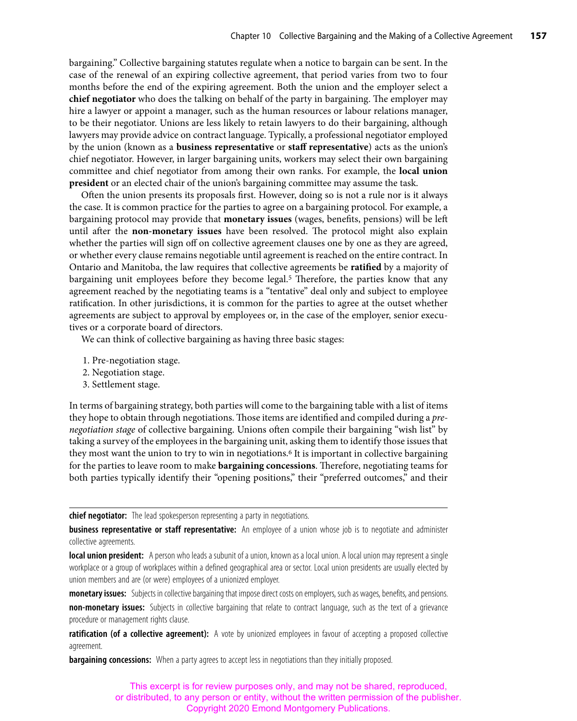bargaining." Collective bargaining statutes regulate when a notice to bargain can be sent. In the case of the renewal of an expiring collective agreement, that period varies from two to four months before the end of the expiring agreement. Both the union and the employer select a **chief negotiator** who does the talking on behalf of the party in bargaining. The employer may hire a lawyer or appoint a manager, such as the human resources or labour relations manager, to be their negotiator. Unions are less likely to retain lawyers to do their bargaining, although lawyers may provide advice on contract language. Typically, a professional negotiator employed by the union (known as a **business representative** or **staff representative**) acts as the union's chief negotiator. However, in larger bargaining units, workers may select their own bargaining committee and chief negotiator from among their own ranks. For example, the **local union president** or an elected chair of the union's bargaining committee may assume the task.

Often the union presents its proposals first. However, doing so is not a rule nor is it always the case. It is common practice for the parties to agree on a bargaining protocol. For example, a bargaining protocol may provide that **monetary issues** (wages, benefits, pensions) will be left until after the **non-monetary issues** have been resolved. The protocol might also explain whether the parties will sign off on collective agreement clauses one by one as they are agreed, or whether every clause remains negotiable until agreement is reached on the entire contract. In Ontario and Manitoba, the law requires that collective agreements be **ratified** by a majority of bargaining unit employees before they become legal.5 Therefore, the parties know that any agreement reached by the negotiating teams is a "tentative" deal only and subject to employee ratification. In other jurisdictions, it is common for the parties to agree at the outset whether agreements are subject to approval by employees or, in the case of the employer, senior executives or a corporate board of directors.

We can think of collective bargaining as having three basic stages:

- 1. Pre-negotiation stage.
- 2. Negotiation stage.
- 3. Settlement stage.

In terms of bargaining strategy, both parties will come to the bargaining table with a list of items they hope to obtain through negotiations. Those items are identified and compiled during a *prenegotiation stage* of collective bargaining. Unions often compile their bargaining "wish list" by taking a survey of the employees in the bargaining unit, asking them to identify those issues that they most want the union to try to win in negotiations.6 It is important in collective bargaining for the parties to leave room to make **bargaining concessions**. Therefore, negotiating teams for both parties typically identify their "opening positions," their "preferred outcomes," and their

**chief negotiator:** The lead spokesperson representing a party in negotiations.

**local union president:** A person who leads a subunit of a union, known as a local union. A local union may represent a single workplace or a group of workplaces within a defined geographical area or sector. Local union presidents are usually elected by union members and are (or were) employees of a unionized employer.

**monetary issues:** Subjects in collective bargaining that impose direct costs on employers, such as wages, benefits, and pensions. **non-monetary issues:** Subjects in collective bargaining that relate to contract language, such as the text of a grievance procedure or management rights clause.

**ratification (of a collective agreement):** A vote by unionized employees in favour of accepting a proposed collective agreement.

**bargaining concessions:** When a party agrees to accept less in negotiations than they initially proposed.

**business representative or staff representative:** An employee of a union whose job is to negotiate and administer collective agreements.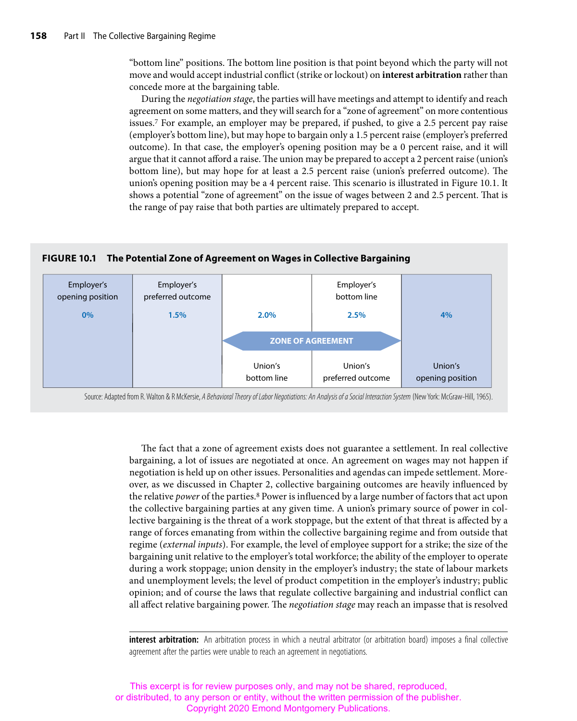"bottom line" positions. The bottom line position is that point beyond which the party will not move and would accept industrial conflict (strike or lockout) on **interest arbitration** rather than concede more at the bargaining table.

During the *negotiation stage*, the parties will have meetings and attempt to identify and reach agreement on some matters, and they will search for a "zone of agreement" on more contentious issues.7 For example, an employer may be prepared, if pushed, to give a 2.5 percent pay raise (employer's bottom line), but may hope to bargain only a 1.5 percent raise (employer's preferred outcome). In that case, the employer's opening position may be a 0 percent raise, and it will argue that it cannot afford a raise. The union may be prepared to accept a 2 percent raise (union's bottom line), but may hope for at least a 2.5 percent raise (union's preferred outcome). The union's opening position may be a 4 percent raise. This scenario is illustrated in Figure 10.1. It shows a potential "zone of agreement" on the issue of wages between 2 and 2.5 percent. That is the range of pay raise that both parties are ultimately prepared to accept.

**FIGURE 10.1 The Potential Zone of Agreement on Wages in Collective Bargaining**

| Employer's<br>opening position | Employer's<br>preferred outcome |                                  | Employer's<br>bottom line    |                             |
|--------------------------------|---------------------------------|----------------------------------|------------------------------|-----------------------------|
| 0%                             | 1.5%                            | 2.0%<br><b>ZONE OF AGREEMENT</b> | 2.5%                         | 4%                          |
|                                |                                 | Union's<br>bottom line           | Union's<br>preferred outcome | Union's<br>opening position |

Source: Adapted from R. Walton & R McKersie, A Behavioral Theory of Labor Negotiations: An Analysis of a Social Interaction System (New York: McGraw-Hill, 1965).

The fact that a zone of agreement exists does not guarantee a settlement. In real collective bargaining, a lot of issues are negotiated at once. An agreement on wages may not happen if negotiation is held up on other issues. Personalities and agendas can impede settlement. Moreover, as we discussed in Chapter 2, collective bargaining outcomes are heavily influenced by the relative *power* of the parties.8 Power is influenced by a large number of factors that act upon the collective bargaining parties at any given time. A union's primary source of power in collective bargaining is the threat of a work stoppage, but the extent of that threat is affected by a range of forces emanating from within the collective bargaining regime and from outside that regime (*external inputs*). For example, the level of employee support for a strike; the size of the bargaining unit relative to the employer's total workforce; the ability of the employer to operate during a work stoppage; union density in the employer's industry; the state of labour markets and unemployment levels; the level of product competition in the employer's industry; public opinion; and of course the laws that regulate collective bargaining and industrial conflict can all affect relative bargaining power. The *negotiation stage* may reach an impasse that is resolved

**interest arbitration:** An arbitration process in which a neutral arbitrator (or arbitration board) imposes a final collective agreement after the parties were unable to reach an agreement in negotiations.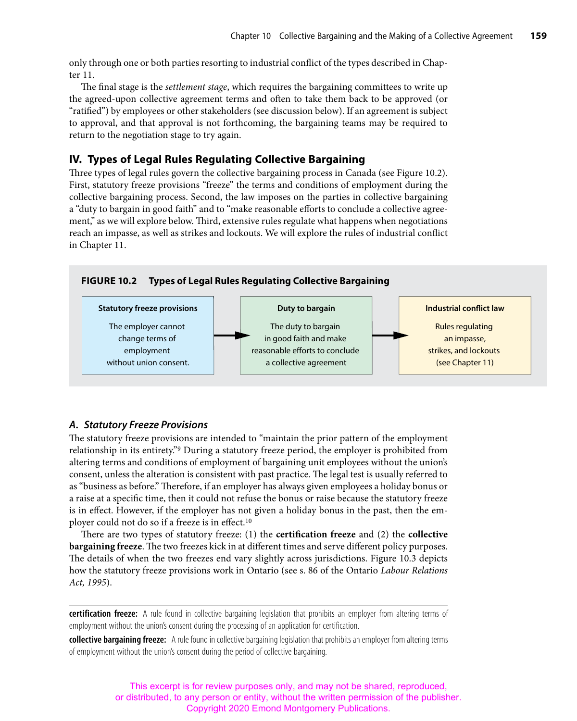only through one or both parties resorting to industrial conflict of the types described in Chapter 11.

The final stage is the *settlement stage*, which requires the bargaining committees to write up the agreed-upon collective agreement terms and often to take them back to be approved (or "ratified") by employees or other stakeholders (see discussion below). If an agreement is subject to approval, and that approval is not forthcoming, the bargaining teams may be required to return to the negotiation stage to try again.

## **IV. Types of Legal Rules Regulating Collective Bargaining**

Three types of legal rules govern the collective bargaining process in Canada (see Figure 10.2). First, statutory freeze provisions "freeze" the terms and conditions of employment during the collective bargaining process. Second, the law imposes on the parties in collective bargaining a "duty to bargain in good faith" and to "make reasonable efforts to conclude a collective agreement," as we will explore below. Third, extensive rules regulate what happens when negotiations reach an impasse, as well as strikes and lockouts. We will explore the rules of industrial conflict in Chapter 11.



## *A. Statutory Freeze Provisions*

The statutory freeze provisions are intended to "maintain the prior pattern of the employment relationship in its entirety."9 During a statutory freeze period, the employer is prohibited from altering terms and conditions of employment of bargaining unit employees without the union's consent, unless the alteration is consistent with past practice. The legal test is usually referred to as "business as before." Therefore, if an employer has always given employees a holiday bonus or a raise at a specific time, then it could not refuse the bonus or raise because the statutory freeze is in effect. However, if the employer has not given a holiday bonus in the past, then the employer could not do so if a freeze is in effect.10

There are two types of statutory freeze: (1) the **certification freeze** and (2) the **collective bargaining freeze**. The two freezes kick in at different times and serve different policy purposes. The details of when the two freezes end vary slightly across jurisdictions. Figure 10.3 depicts how the statutory freeze provisions work in Ontario (see s. 86 of the Ontario *Labour Relations Act, 1995*).

**certification freeze:** A rule found in collective bargaining legislation that prohibits an employer from altering terms of employment without the union's consent during the processing of an application for certification.

**collective bargaining freeze:** A rule found in collective bargaining legislation that prohibits an employer from altering terms of employment without the union's consent during the period of collective bargaining.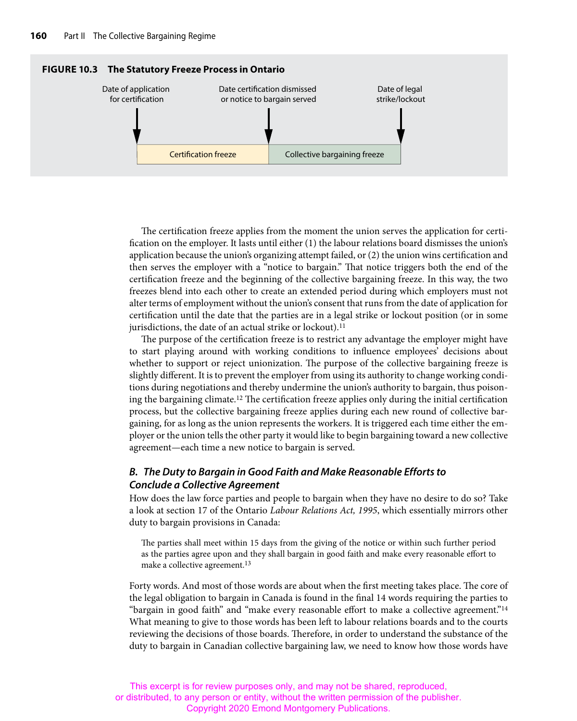

#### **FIGURE 10.3 The Statutory Freeze Process in Ontario**

The certification freeze applies from the moment the union serves the application for certification on the employer. It lasts until either (1) the labour relations board dismisses the union's application because the union's organizing attempt failed, or (2) the union wins certification and then serves the employer with a "notice to bargain." That notice triggers both the end of the certification freeze and the beginning of the collective bargaining freeze. In this way, the two freezes blend into each other to create an extended period during which employers must not alter terms of employment without the union's consent that runs from the date of application for certification until the date that the parties are in a legal strike or lockout position (or in some jurisdictions, the date of an actual strike or lockout).<sup>11</sup>

The purpose of the certification freeze is to restrict any advantage the employer might have to start playing around with working conditions to influence employees' decisions about whether to support or reject unionization. The purpose of the collective bargaining freeze is slightly different. It is to prevent the employer from using its authority to change working conditions during negotiations and thereby undermine the union's authority to bargain, thus poisoning the bargaining climate.12 The certification freeze applies only during the initial certification process, but the collective bargaining freeze applies during each new round of collective bargaining, for as long as the union represents the workers. It is triggered each time either the employer or the union tells the other party it would like to begin bargaining toward a new collective agreement—each time a new notice to bargain is served.

## *B. The Duty to Bargain in Good Faith and Make Reasonable Efforts to Conclude a Collective Agreement*

How does the law force parties and people to bargain when they have no desire to do so? Take a look at section 17 of the Ontario *Labour Relations Act, 1995*, which essentially mirrors other duty to bargain provisions in Canada:

The parties shall meet within 15 days from the giving of the notice or within such further period as the parties agree upon and they shall bargain in good faith and make every reasonable effort to make a collective agreement.13

Forty words. And most of those words are about when the first meeting takes place. The core of the legal obligation to bargain in Canada is found in the final 14 words requiring the parties to "bargain in good faith" and "make every reasonable effort to make a collective agreement."14 What meaning to give to those words has been left to labour relations boards and to the courts reviewing the decisions of those boards. Therefore, in order to understand the substance of the duty to bargain in Canadian collective bargaining law, we need to know how those words have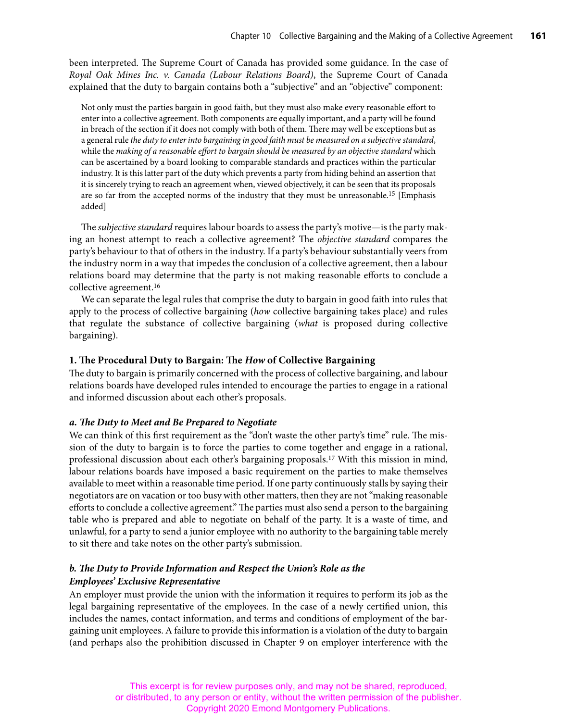been interpreted. The Supreme Court of Canada has provided some guidance. In the case of *Royal Oak Mines Inc. v. Canada (Labour Relations Board)*, the Supreme Court of Canada explained that the duty to bargain contains both a "subjective" and an "objective" component:

Not only must the parties bargain in good faith, but they must also make every reasonable effort to enter into a collective agreement. Both components are equally important, and a party will be found in breach of the section if it does not comply with both of them. There may well be exceptions but as a general rule *the duty to enter into bargaining in good faith must be measured on a subjective standard*, while the *making of a reasonable effort to bargain should be measured by an objective standard* which can be ascertained by a board looking to comparable standards and practices within the particular industry. It is this latter part of the duty which prevents a party from hiding behind an assertion that it is sincerely trying to reach an agreement when, viewed objectively, it can be seen that its proposals are so far from the accepted norms of the industry that they must be unreasonable.15 [Emphasis added]

The *subjective standard* requires labour boards to assess the party's motive—is the party making an honest attempt to reach a collective agreement? The *objective standard* compares the party's behaviour to that of others in the industry. If a party's behaviour substantially veers from the industry norm in a way that impedes the conclusion of a collective agreement, then a labour relations board may determine that the party is not making reasonable efforts to conclude a collective agreement.16

We can separate the legal rules that comprise the duty to bargain in good faith into rules that apply to the process of collective bargaining (*how* collective bargaining takes place) and rules that regulate the substance of collective bargaining (*what* is proposed during collective bargaining).

#### **1. The Procedural Duty to Bargain: The** *How* **of Collective Bargaining**

The duty to bargain is primarily concerned with the process of collective bargaining, and labour relations boards have developed rules intended to encourage the parties to engage in a rational and informed discussion about each other's proposals.

#### *a. The Duty to Meet and Be Prepared to Negotiate*

We can think of this first requirement as the "don't waste the other party's time" rule. The mission of the duty to bargain is to force the parties to come together and engage in a rational, professional discussion about each other's bargaining proposals.17 With this mission in mind, labour relations boards have imposed a basic requirement on the parties to make themselves available to meet within a reasonable time period. If one party continuously stalls by saying their negotiators are on vacation or too busy with other matters, then they are not "making reasonable efforts to conclude a collective agreement." The parties must also send a person to the bargaining table who is prepared and able to negotiate on behalf of the party. It is a waste of time, and unlawful, for a party to send a junior employee with no authority to the bargaining table merely to sit there and take notes on the other party's submission.

## *b. The Duty to Provide Information and Respect the Union's Role as the Employees' Exclusive Representative*

An employer must provide the union with the information it requires to perform its job as the legal bargaining representative of the employees. In the case of a newly certified union, this includes the names, contact information, and terms and conditions of employment of the bargaining unit employees. A failure to provide this information is a violation of the duty to bargain (and perhaps also the prohibition discussed in Chapter 9 on employer interference with the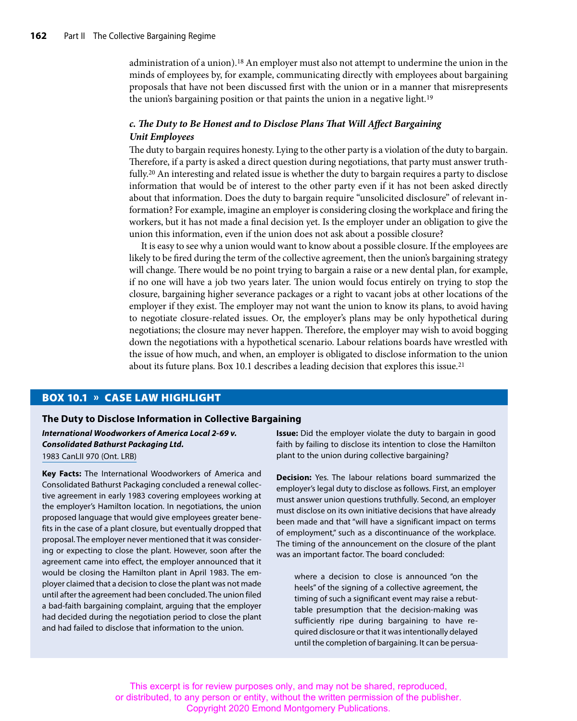administration of a union).18 An employer must also not attempt to undermine the union in the minds of employees by, for example, communicating directly with employees about bargaining proposals that have not been discussed first with the union or in a manner that misrepresents the union's bargaining position or that paints the union in a negative light.19

## *c. The Duty to Be Honest and to Disclose Plans That Will Affect Bargaining Unit Employees*

The duty to bargain requires honesty. Lying to the other party is a violation of the duty to bargain. Therefore, if a party is asked a direct question during negotiations, that party must answer truthfully.20 An interesting and related issue is whether the duty to bargain requires a party to disclose information that would be of interest to the other party even if it has not been asked directly about that information. Does the duty to bargain require "unsolicited disclosure" of relevant information? For example, imagine an employer is considering closing the workplace and firing the workers, but it has not made a final decision yet. Is the employer under an obligation to give the union this information, even if the union does not ask about a possible closure?

It is easy to see why a union would want to know about a possible closure. If the employees are likely to be fired during the term of the collective agreement, then the union's bargaining strategy will change. There would be no point trying to bargain a raise or a new dental plan, for example, if no one will have a job two years later. The union would focus entirely on trying to stop the closure, bargaining higher severance packages or a right to vacant jobs at other locations of the employer if they exist. The employer may not want the union to know its plans, to avoid having to negotiate closure-related issues. Or, the employer's plans may be only hypothetical during negotiations; the closure may never happen. Therefore, the employer may wish to avoid bogging down the negotiations with a hypothetical scenario. Labour relations boards have wrestled with the issue of how much, and when, an employer is obligated to disclose information to the union about its future plans. Box 10.1 describes a leading decision that explores this issue.<sup>21</sup>

## BOX 10.1 » CASE LAW HIGHLIGHT

#### **The Duty to Disclose Information in Collective Bargaining**

#### *International Woodworkers of America Local 2-69 v. Consolidated Bathurst Packaging Ltd.* [1983 CanLII 970 \(Ont. LRB\)](https://www.canlii.org/en/on/onlrb/doc/1983/1983canlii970/1983canlii970.html?resultIndex=1)

**Key Facts:** The International Woodworkers of America and Consolidated Bathurst Packaging concluded a renewal collective agreement in early 1983 covering employees working at the employer's Hamilton location. In negotiations, the union proposed language that would give employees greater benefits in the case of a plant closure, but eventually dropped that proposal. The employer never mentioned that it was considering or expecting to close the plant. However, soon after the agreement came into effect, the employer announced that it would be closing the Hamilton plant in April 1983. The employer claimed that a decision to close the plant was not made until after the agreement had been concluded. The union filed a bad-faith bargaining complaint, arguing that the employer had decided during the negotiation period to close the plant and had failed to disclose that information to the union.

**Issue:** Did the employer violate the duty to bargain in good faith by failing to disclose its intention to close the Hamilton plant to the union during collective bargaining?

**Decision:** Yes. The labour relations board summarized the employer's legal duty to disclose as follows. First, an employer must answer union questions truthfully. Second, an employer must disclose on its own initiative decisions that have already been made and that "will have a significant impact on terms of employment," such as a discontinuance of the workplace. The timing of the announcement on the closure of the plant was an important factor. The board concluded:

where a decision to close is announced "on the heels" of the signing of a collective agreement, the timing of such a significant event may raise a rebuttable presumption that the decision-making was sufficiently ripe during bargaining to have required disclosure or that it was intentionally delayed until the completion of bargaining. It can be persua-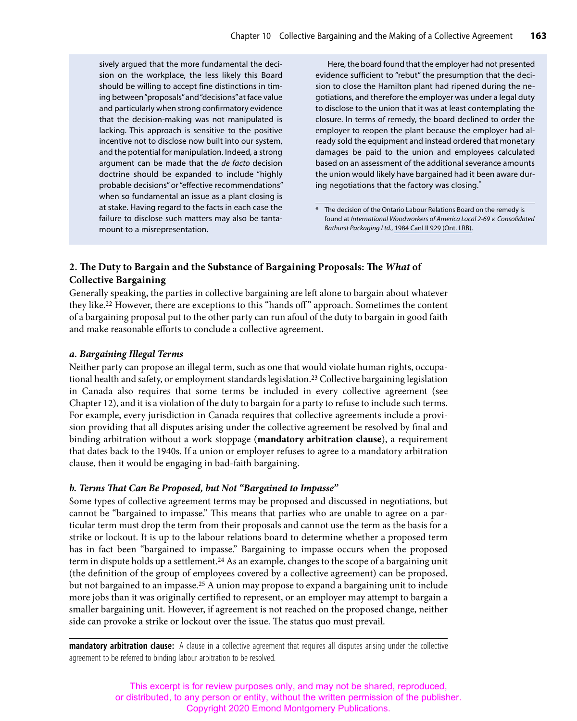sively argued that the more fundamental the decision on the workplace, the less likely this Board should be willing to accept fine distinctions in timing between "proposals" and "decisions" at face value and particularly when strong confirmatory evidence that the decision-making was not manipulated is lacking. This approach is sensitive to the positive incentive not to disclose now built into our system, and the potential for manipulation. Indeed, a strong argument can be made that the *de facto* decision doctrine should be expanded to include "highly probable decisions" or "effective recommendations" when so fundamental an issue as a plant closing is at stake. Having regard to the facts in each case the failure to disclose such matters may also be tantamount to a misrepresentation.

Here, the board found that the employer had not presented evidence sufficient to "rebut" the presumption that the decision to close the Hamilton plant had ripened during the negotiations, and therefore the employer was under a legal duty to disclose to the union that it was at least contemplating the closure. In terms of remedy, the board declined to order the employer to reopen the plant because the employer had already sold the equipment and instead ordered that monetary damages be paid to the union and employees calculated based on an assessment of the additional severance amounts the union would likely have bargained had it been aware during negotiations that the factory was closing.\*

\* The decision of the Ontario Labour Relations Board on the remedy is found at *International Woodworkers of America Local 2-69 v. Consolidated Bathurst Packaging Ltd.*, [1984 CanLII 929 \(Ont. LRB\).](https://www.canlii.org/en/on/onlrb/doc/1984/1984canlii929/1984canlii929.html?resultIndex=1)

## **2. The Duty to Bargain and the Substance of Bargaining Proposals: The** *What* **of Collective Bargaining**

Generally speaking, the parties in collective bargaining are left alone to bargain about whatever they like.22 However, there are exceptions to this "hands off " approach. Sometimes the content of a bargaining proposal put to the other party can run afoul of the duty to bargain in good faith and make reasonable efforts to conclude a collective agreement.

## *a. Bargaining Illegal Terms*

Neither party can propose an illegal term, such as one that would violate human rights, occupational health and safety, or employment standards legislation.23 Collective bargaining legislation in Canada also requires that some terms be included in every collective agreement (see Chapter 12), and it is a violation of the duty to bargain for a party to refuse to include such terms. For example, every jurisdiction in Canada requires that collective agreements include a provision providing that all disputes arising under the collective agreement be resolved by final and binding arbitration without a work stoppage (**mandatory arbitration clause**), a requirement that dates back to the 1940s. If a union or employer refuses to agree to a mandatory arbitration clause, then it would be engaging in bad-faith bargaining.

## *b. Terms That Can Be Proposed, but Not "Bargained to Impasse"*

Some types of collective agreement terms may be proposed and discussed in negotiations, but cannot be "bargained to impasse." This means that parties who are unable to agree on a particular term must drop the term from their proposals and cannot use the term as the basis for a strike or lockout. It is up to the labour relations board to determine whether a proposed term has in fact been "bargained to impasse." Bargaining to impasse occurs when the proposed term in dispute holds up a settlement.24 As an example, changes to the scope of a bargaining unit (the definition of the group of employees covered by a collective agreement) can be proposed, but not bargained to an impasse.25 A union may propose to expand a bargaining unit to include more jobs than it was originally certified to represent, or an employer may attempt to bargain a smaller bargaining unit. However, if agreement is not reached on the proposed change, neither side can provoke a strike or lockout over the issue. The status quo must prevail.

**mandatory arbitration clause:** A clause in a collective agreement that requires all disputes arising under the collective agreement to be referred to binding labour arbitration to be resolved.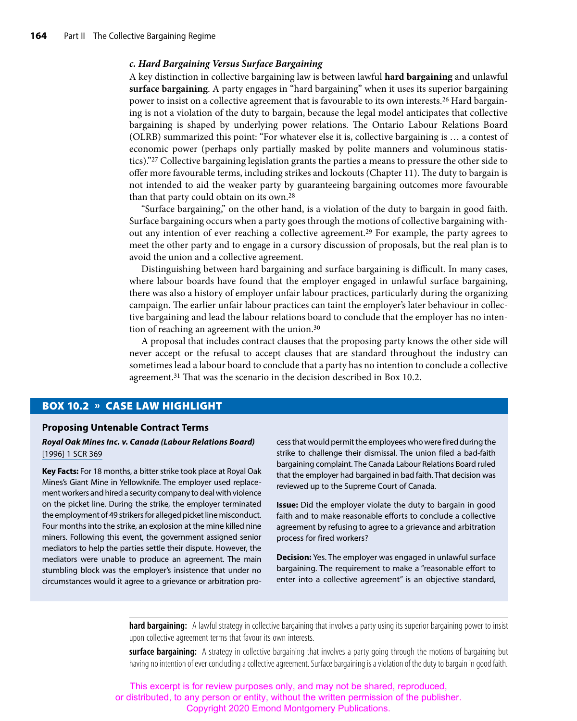#### *c. Hard Bargaining Versus Surface Bargaining*

A key distinction in collective bargaining law is between lawful **hard bargaining** and unlawful **surface bargaining**. A party engages in "hard bargaining" when it uses its superior bargaining power to insist on a collective agreement that is favourable to its own interests.26 Hard bargaining is not a violation of the duty to bargain, because the legal model anticipates that collective bargaining is shaped by underlying power relations. The Ontario Labour Relations Board (OLRB) summarized this point: "For whatever else it is, collective bargaining is … a contest of economic power (perhaps only partially masked by polite manners and voluminous statistics)."27 Collective bargaining legislation grants the parties a means to pressure the other side to offer more favourable terms, including strikes and lockouts (Chapter 11). The duty to bargain is not intended to aid the weaker party by guaranteeing bargaining outcomes more favourable than that party could obtain on its own.28

"Surface bargaining," on the other hand, is a violation of the duty to bargain in good faith. Surface bargaining occurs when a party goes through the motions of collective bargaining without any intention of ever reaching a collective agreement.29 For example, the party agrees to meet the other party and to engage in a cursory discussion of proposals, but the real plan is to avoid the union and a collective agreement.

Distinguishing between hard bargaining and surface bargaining is difficult. In many cases, where labour boards have found that the employer engaged in unlawful surface bargaining, there was also a history of employer unfair labour practices, particularly during the organizing campaign. The earlier unfair labour practices can taint the employer's later behaviour in collective bargaining and lead the labour relations board to conclude that the employer has no intention of reaching an agreement with the union.30

A proposal that includes contract clauses that the proposing party knows the other side will never accept or the refusal to accept clauses that are standard throughout the industry can sometimes lead a labour board to conclude that a party has no intention to conclude a collective agreement.31 That was the scenario in the decision described in Box 10.2.

## BOX 10.2 » CASE LAW HIGHLIGHT

#### **Proposing Untenable Contract Terms**

#### *Royal Oak Mines Inc. v. Canada (Labour Relations Board)* [\[1996\] 1 SCR 369](https://www.canlii.org/en/ca/scc/doc/1996/1996canlii220/1996canlii220.html?resultIndex=1)

**Key Facts:** For 18 months, a bitter strike took place at Royal Oak Mines's Giant Mine in Yellowknife. The employer used replacement workers and hired a security company to deal with violence on the picket line. During the strike, the employer terminated the employment of 49 strikers for alleged picket line misconduct. Four months into the strike, an explosion at the mine killed nine miners. Following this event, the government assigned senior mediators to help the parties settle their dispute. However, the mediators were unable to produce an agreement. The main stumbling block was the employer's insistence that under no circumstances would it agree to a grievance or arbitration process that would permit the employees who were fired during the strike to challenge their dismissal. The union filed a bad-faith bargaining complaint. The Canada Labour Relations Board ruled that the employer had bargained in bad faith. That decision was reviewed up to the Supreme Court of Canada.

**Issue:** Did the employer violate the duty to bargain in good faith and to make reasonable efforts to conclude a collective agreement by refusing to agree to a grievance and arbitration process for fired workers?

**Decision:** Yes. The employer was engaged in unlawful surface bargaining. The requirement to make a "reasonable effort to enter into a collective agreement" is an objective standard,

**hard bargaining:** A lawful strategy in collective bargaining that involves a party using its superior bargaining power to insist upon collective agreement terms that favour its own interests.

**surface bargaining:** A strategy in collective bargaining that involves a party going through the motions of bargaining but having no intention of ever concluding a collective agreement. Surface bargaining is a violation of the duty to bargain in good faith.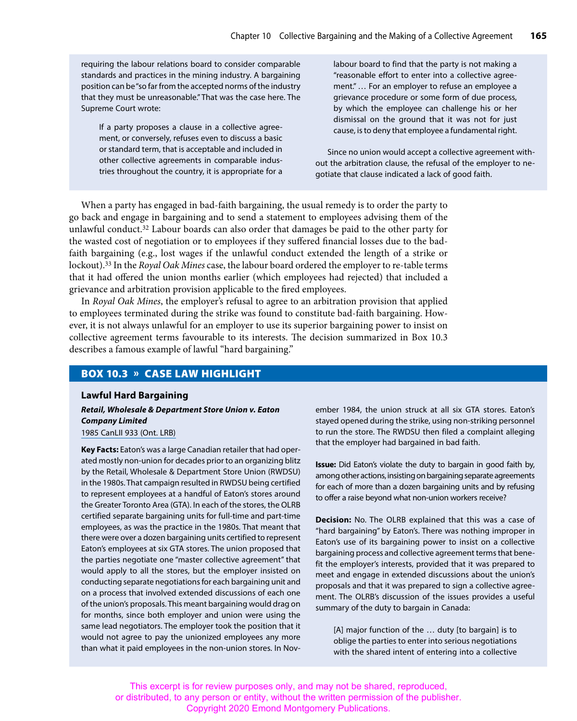requiring the labour relations board to consider comparable standards and practices in the mining industry. A bargaining position can be "so far from the accepted norms of the industry that they must be unreasonable." That was the case here. The Supreme Court wrote:

If a party proposes a clause in a collective agreement, or conversely, refuses even to discuss a basic or standard term, that is acceptable and included in other collective agreements in comparable industries throughout the country, it is appropriate for a

labour board to find that the party is not making a "reasonable effort to enter into a collective agreement." … For an employer to refuse an employee a grievance procedure or some form of due process, by which the employee can challenge his or her dismissal on the ground that it was not for just cause, is to deny that employee a fundamental right.

Since no union would accept a collective agreement without the arbitration clause, the refusal of the employer to negotiate that clause indicated a lack of good faith.

When a party has engaged in bad-faith bargaining, the usual remedy is to order the party to go back and engage in bargaining and to send a statement to employees advising them of the unlawful conduct.32 Labour boards can also order that damages be paid to the other party for the wasted cost of negotiation or to employees if they suffered financial losses due to the badfaith bargaining (e.g., lost wages if the unlawful conduct extended the length of a strike or lockout).33 In the *Royal Oak Mines* case, the labour board ordered the employer to re-table terms that it had offered the union months earlier (which employees had rejected) that included a grievance and arbitration provision applicable to the fired employees.

In *Royal Oak Mines*, the employer's refusal to agree to an arbitration provision that applied to employees terminated during the strike was found to constitute bad-faith bargaining. However, it is not always unlawful for an employer to use its superior bargaining power to insist on collective agreement terms favourable to its interests. The decision summarized in Box 10.3 describes a famous example of lawful "hard bargaining."

## BOX 10.3 » CASE LAW HIGHLIGHT

#### **Lawful Hard Bargaining**

*Retail, Wholesale & Department Store Union v. Eaton Company Limited* [1985 CanLII 933 \(Ont. LRB\)](https://www.canlii.org/en/on/onlrb/doc/1985/1985canlii933/1985canlii933.html?resultIndex=1)

**Key Facts:** Eaton's was a large Canadian retailer that had operated mostly non-union for decades prior to an organizing blitz by the Retail, Wholesale & Department Store Union (RWDSU) in the 1980s. That campaign resulted in RWDSU being certified to represent employees at a handful of Eaton's stores around the Greater Toronto Area (GTA). In each of the stores, the OLRB certified separate bargaining units for full-time and part-time employees, as was the practice in the 1980s. That meant that there were over a dozen bargaining units certified to represent Eaton's employees at six GTA stores. The union proposed that the parties negotiate one "master collective agreement" that would apply to all the stores, but the employer insisted on conducting separate negotiations for each bargaining unit and on a process that involved extended discussions of each one of the union's proposals. This meant bargaining would drag on for months, since both employer and union were using the same lead negotiators. The employer took the position that it would not agree to pay the unionized employees any more than what it paid employees in the non-union stores. In November 1984, the union struck at all six GTA stores. Eaton's stayed opened during the strike, using non-striking personnel to run the store. The RWDSU then filed a complaint alleging that the employer had bargained in bad faith.

**Issue:** Did Eaton's violate the duty to bargain in good faith by, among other actions, insisting on bargaining separate agreements for each of more than a dozen bargaining units and by refusing to offer a raise beyond what non-union workers receive?

**Decision:** No. The OLRB explained that this was a case of "hard bargaining" by Eaton's. There was nothing improper in Eaton's use of its bargaining power to insist on a collective bargaining process and collective agreement terms that benefit the employer's interests, provided that it was prepared to meet and engage in extended discussions about the union's proposals and that it was prepared to sign a collective agreement. The OLRB's discussion of the issues provides a useful summary of the duty to bargain in Canada:

[A] major function of the … duty [to bargain] is to oblige the parties to enter into serious negotiations with the shared intent of entering into a collective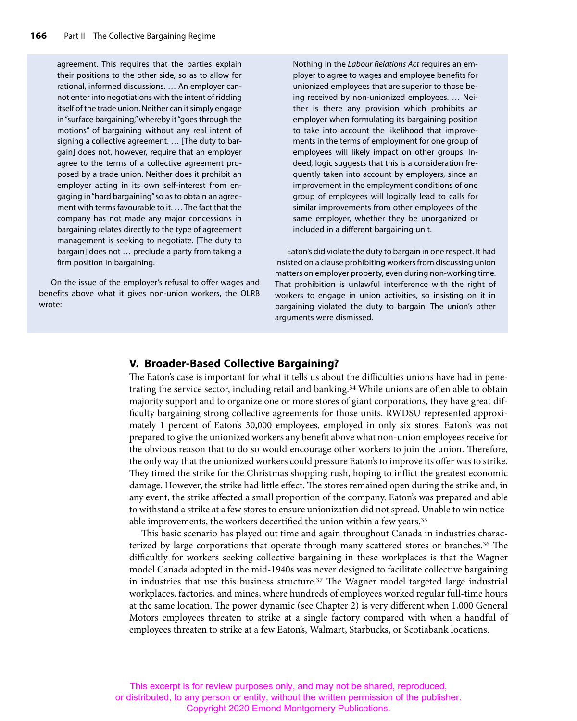agreement. This requires that the parties explain their positions to the other side, so as to allow for rational, informed discussions. … An employer cannot enter into negotiations with the intent of ridding itself of the trade union. Neither can it simply engage in "surface bargaining," whereby it "goes through the motions" of bargaining without any real intent of signing a collective agreement. … [The duty to bargain] does not, however, require that an employer agree to the terms of a collective agreement proposed by a trade union. Neither does it prohibit an employer acting in its own self-interest from engaging in "hard bargaining" so as to obtain an agreement with terms favourable to it. … The fact that the company has not made any major concessions in bargaining relates directly to the type of agreement management is seeking to negotiate. [The duty to bargain] does not … preclude a party from taking a firm position in bargaining.

On the issue of the employer's refusal to offer wages and benefits above what it gives non-union workers, the OLRB wrote:

Nothing in the *Labour Relations Act* requires an employer to agree to wages and employee benefits for unionized employees that are superior to those being received by non-unionized employees. … Neither is there any provision which prohibits an employer when formulating its bargaining position to take into account the likelihood that improvements in the terms of employment for one group of employees will likely impact on other groups. Indeed, logic suggests that this is a consideration frequently taken into account by employers, since an improvement in the employment conditions of one group of employees will logically lead to calls for similar improvements from other employees of the same employer, whether they be unorganized or included in a different bargaining unit.

Eaton's did violate the duty to bargain in one respect. It had insisted on a clause prohibiting workers from discussing union matters on employer property, even during non-working time. That prohibition is unlawful interference with the right of workers to engage in union activities, so insisting on it in bargaining violated the duty to bargain. The union's other arguments were dismissed.

## **V. Broader-Based Collective Bargaining?**

The Eaton's case is important for what it tells us about the difficulties unions have had in penetrating the service sector, including retail and banking.34 While unions are often able to obtain majority support and to organize one or more stores of giant corporations, they have great difficulty bargaining strong collective agreements for those units. RWDSU represented approximately 1 percent of Eaton's 30,000 employees, employed in only six stores. Eaton's was not prepared to give the unionized workers any benefit above what non-union employees receive for the obvious reason that to do so would encourage other workers to join the union. Therefore, the only way that the unionized workers could pressure Eaton's to improve its offer was to strike. They timed the strike for the Christmas shopping rush, hoping to inflict the greatest economic damage. However, the strike had little effect. The stores remained open during the strike and, in any event, the strike affected a small proportion of the company. Eaton's was prepared and able to withstand a strike at a few stores to ensure unionization did not spread. Unable to win noticeable improvements, the workers decertified the union within a few years.35

This basic scenario has played out time and again throughout Canada in industries characterized by large corporations that operate through many scattered stores or branches.36 The difficultly for workers seeking collective bargaining in these workplaces is that the Wagner model Canada adopted in the mid-1940s was never designed to facilitate collective bargaining in industries that use this business structure.<sup>37</sup> The Wagner model targeted large industrial workplaces, factories, and mines, where hundreds of employees worked regular full-time hours at the same location. The power dynamic (see Chapter 2) is very different when 1,000 General Motors employees threaten to strike at a single factory compared with when a handful of employees threaten to strike at a few Eaton's, Walmart, Starbucks, or Scotiabank locations.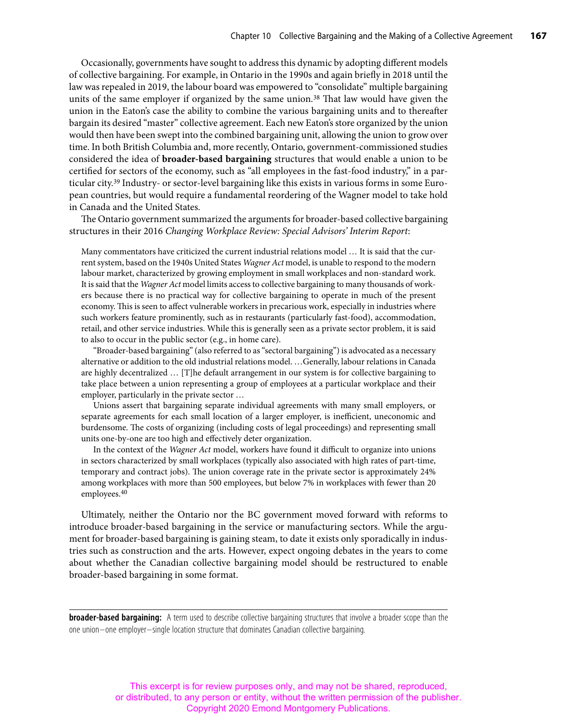Occasionally, governments have sought to address this dynamic by adopting different models of collective bargaining. For example, in Ontario in the 1990s and again briefly in 2018 until the law was repealed in 2019, the labour board was empowered to "consolidate" multiple bargaining units of the same employer if organized by the same union.38 That law would have given the union in the Eaton's case the ability to combine the various bargaining units and to thereafter bargain its desired "master" collective agreement. Each new Eaton's store organized by the union would then have been swept into the combined bargaining unit, allowing the union to grow over time. In both British Columbia and, more recently, Ontario, government-commissioned studies considered the idea of **broader-based bargaining** structures that would enable a union to be certified for sectors of the economy, such as "all employees in the fast-food industry," in a particular city.<sup>39</sup> Industry- or sector-level bargaining like this exists in various forms in some European countries, but would require a fundamental reordering of the Wagner model to take hold in Canada and the United States.

The Ontario government summarized the arguments for broader-based collective bargaining structures in their 2016 *Changing Workplace Review: Special Advisors' Interim Report*:

Many commentators have criticized the current industrial relations model … It is said that the current system, based on the 1940s United States *Wagner Act* model, is unable to respond to the modern labour market, characterized by growing employment in small workplaces and non-standard work. It is said that the *Wagner Act* model limits access to collective bargaining to many thousands of workers because there is no practical way for collective bargaining to operate in much of the present economy. This is seen to affect vulnerable workers in precarious work, especially in industries where such workers feature prominently, such as in restaurants (particularly fast-food), accommodation, retail, and other service industries. While this is generally seen as a private sector problem, it is said to also to occur in the public sector (e.g., in home care).

"Broader-based bargaining" (also referred to as "sectoral bargaining") is advocated as a necessary alternative or addition to the old industrial relations model. …Generally, labour relations in Canada are highly decentralized … [T]he default arrangement in our system is for collective bargaining to take place between a union representing a group of employees at a particular workplace and their employer, particularly in the private sector …

Unions assert that bargaining separate individual agreements with many small employers, or separate agreements for each small location of a larger employer, is inefficient, uneconomic and burdensome. The costs of organizing (including costs of legal proceedings) and representing small units one-by-one are too high and effectively deter organization.

In the context of the *Wagner Act* model, workers have found it difficult to organize into unions in sectors characterized by small workplaces (typically also associated with high rates of part-time, temporary and contract jobs). The union coverage rate in the private sector is approximately 24% among workplaces with more than 500 employees, but below 7% in workplaces with fewer than 20 employees.40

Ultimately, neither the Ontario nor the BC government moved forward with reforms to introduce broader-based bargaining in the service or manufacturing sectors. While the argument for broader-based bargaining is gaining steam, to date it exists only sporadically in industries such as construction and the arts. However, expect ongoing debates in the years to come about whether the Canadian collective bargaining model should be restructured to enable broader-based bargaining in some format.

**broader-based bargaining:** A term used to describe collective bargaining structures that involve a broader scope than the one union–one employer–single location structure that dominates Canadian collective bargaining.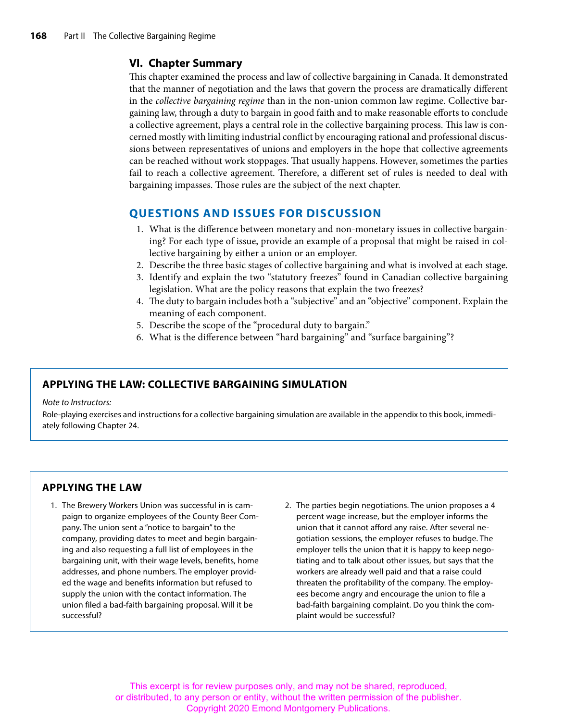## **VI. Chapter Summary**

This chapter examined the process and law of collective bargaining in Canada. It demonstrated that the manner of negotiation and the laws that govern the process are dramatically different in the *collective bargaining regime* than in the non-union common law regime. Collective bargaining law, through a duty to bargain in good faith and to make reasonable efforts to conclude a collective agreement, plays a central role in the collective bargaining process. This law is concerned mostly with limiting industrial conflict by encouraging rational and professional discussions between representatives of unions and employers in the hope that collective agreements can be reached without work stoppages. That usually happens. However, sometimes the parties fail to reach a collective agreement. Therefore, a different set of rules is needed to deal with bargaining impasses. Those rules are the subject of the next chapter.

# **QUESTIONS AND ISSUES FOR DISCUSSION**

- 1. What is the difference between monetary and non-monetary issues in collective bargaining? For each type of issue, provide an example of a proposal that might be raised in collective bargaining by either a union or an employer.
- 2. Describe the three basic stages of collective bargaining and what is involved at each stage.
- 3. Identify and explain the two "statutory freezes" found in Canadian collective bargaining legislation. What are the policy reasons that explain the two freezes?
- 4. The duty to bargain includes both a "subjective" and an "objective" component. Explain the meaning of each component.
- 5. Describe the scope of the "procedural duty to bargain."
- 6. What is the difference between "hard bargaining" and "surface bargaining"?

# **APPLYING THE LAW: COLLECTIVE BARGAINING SIMULATION**

*Note to Instructors:*

Role-playing exercises and instructions for a collective bargaining simulation are available in the appendix to this book, immediately following Chapter 24.

# **APPLYING THE LAW**

- 1. The Brewery Workers Union was successful in is campaign to organize employees of the County Beer Company. The union sent a "notice to bargain" to the company, providing dates to meet and begin bargaining and also requesting a full list of employees in the bargaining unit, with their wage levels, benefits, home addresses, and phone numbers. The employer provided the wage and benefits information but refused to supply the union with the contact information. The union filed a bad-faith bargaining proposal. Will it be successful?
- 2. The parties begin negotiations. The union proposes a 4 percent wage increase, but the employer informs the union that it cannot afford any raise. After several negotiation sessions, the employer refuses to budge. The employer tells the union that it is happy to keep negotiating and to talk about other issues, but says that the workers are already well paid and that a raise could threaten the profitability of the company. The employees become angry and encourage the union to file a bad-faith bargaining complaint. Do you think the complaint would be successful?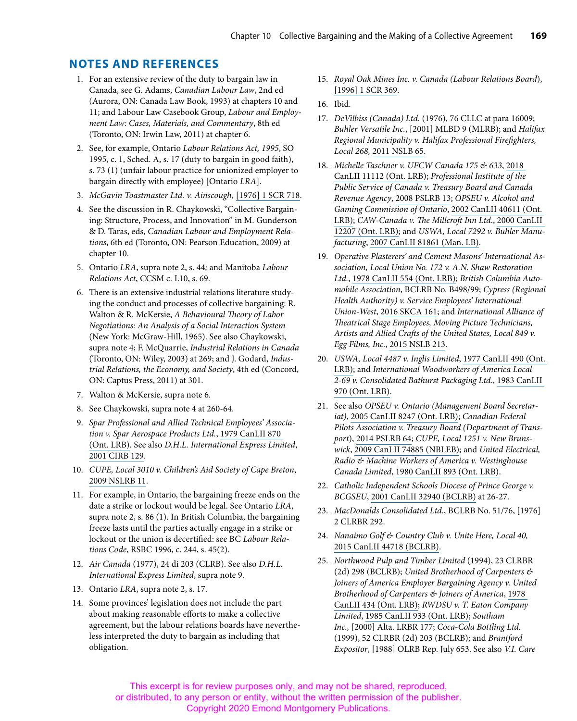## **NOTES AND REFERENCES**

- 1. For an extensive review of the duty to bargain law in Canada, see G. Adams, *Canadian Labour Law*, 2nd ed (Aurora, ON: Canada Law Book, 1993) at chapters 10 and 11; and Labour Law Casebook Group, *Labour and Employment Law: Cases, Materials, and Commentary*, 8th ed (Toronto, ON: Irwin Law, 2011) at chapter 6.
- 2. See, for example, Ontario *Labour Relations Act, 1995*, SO 1995, c. 1, Sched. A, s. 17 (duty to bargain in good faith), s. 73 (1) (unfair labour practice for unionized employer to bargain directly with employee) [Ontario *LRA*].
- 3. *McGavin Toastmaster Ltd. v. Ainscough*, [\[1976\] 1 SCR 718](https://www.canlii.org/en/ca/scc/doc/1975/1975canlii9/1975canlii9.html?resultIndex=1).
- 4. See the discussion in R. Chaykowski, "Collective Bargaining: Structure, Process, and Innovation" in M. Gunderson & D. Taras, eds, *Canadian Labour and Employment Relations*, 6th ed (Toronto, ON: Pearson Education, 2009) at chapter 10.
- 5. Ontario *LRA*, supra note 2, s. 44*;* and Manitoba *Labour Relations Act*, CCSM c. L10, s. 69.
- 6. There is an extensive industrial relations literature studying the conduct and processes of collective bargaining: R. Walton & R. McKersie, *A Behavioural Theory of Labor Negotiations: An Analysis of a Social Interaction System*  (New York: McGraw-Hill, 1965). See also Chaykowski, supra note 4; F. McQuarrie, *Industrial Relations in Canada* (Toronto, ON: Wiley, 2003) at 269; and J. Godard, *Industrial Relations, the Economy, and Society*, 4th ed (Concord, ON: Captus Press, 2011) at 301.
- 7. Walton & McKersie, supra note 6.
- 8. See Chaykowski, supra note 4 at 260-64.
- 9. *Spar Professional and Allied Technical Employees' Association v. Spar Aerospace Products Ltd.*, [1979 CanLII 870](https://www.canlii.org/en/on/onlrb/doc/1979/1979canlii870/1979canlii870.html?resultIndex=1)  [\(Ont. LRB\)](https://www.canlii.org/en/on/onlrb/doc/1979/1979canlii870/1979canlii870.html?resultIndex=1). See also *D.H.L. International Express Limited*, [2001 CIRB 129.](https://www.canlii.org/en/ca/cirb/doc/2001/2001canlii32589/2001canlii32589.html?resultIndex=1)
- 10. *CUPE, Local 3010 v. Children's Aid Society of Cape Breton*, [2009 NSLRB 11.](https://www.canlii.org/en/ns/nslrb/doc/2009/2009nslrb11/2009nslrb11.html?resultIndex=1)
- 11. For example, in Ontario, the bargaining freeze ends on the date a strike or lockout would be legal. See Ontario *LRA*, supra note 2, s. 86 (1). In British Columbia, the bargaining freeze lasts until the parties actually engage in a strike or lockout or the union is decertified: see BC *Labour Relations Code*, RSBC 1996, c. 244, s. 45(2).
- 12. *Air Canada* (1977), 24 di 203 (CLRB). See also *D.H.L. International Express Limited*, supra note 9.
- 13. Ontario *LRA*, supra note 2, s. 17.
- 14. Some provinces' legislation does not include the part about making reasonable efforts to make a collective agreement, but the labour relations boards have nevertheless interpreted the duty to bargain as including that obligation.
- 15. *Royal Oak Mines Inc. v. Canada (Labour Relations Board*), [\[1996\] 1 SCR 369.](https://www.canlii.org/en/ca/scc/doc/1996/1996canlii220/1996canlii220.html?resultIndex=1)
- 16. Ibid.
- 17. *DeVilbiss (Canada) Ltd.* (1976), 76 CLLC at para 16009; *Buhler Versatile Inc.*, [2001] MLBD 9 (MLRB); and *Halifax Regional Municipality v. Halifax Professional Firefighters, Local 268,* [2011 NSLB 65](https://www.canlii.org/en/ns/nslb/doc/2011/2011nslb65/2011nslb65.html?resultIndex=1).
- 18. *Michelle Taschner v. UFCW Canada 175 & 633*, [2018](https://www.canlii.org/en/on/onlrb/doc/2018/2018canlii11112/2018canlii11112.html?resultIndex=3)  [CanLII 11112 \(Ont. LRB\);](https://www.canlii.org/en/on/onlrb/doc/2018/2018canlii11112/2018canlii11112.html?resultIndex=3) *Professional Institute of the Public Service of Canada v. Treasury Board and Canada Revenue Agency*, [2008 PSLRB 13](https://www.canlii.org/en/ca/pssrb/doc/2008/2008pslrb13/2008pslrb13.html?resultIndex=1); *OPSEU v. Alcohol and Gaming Commission of Ontario*, [2002 CanLII 40611 \(Ont.](https://www.canlii.org/en/on/onlrb/doc/2002/2002canlii40611/2002canlii40611.html?resultIndex=1)  [LRB\)](https://www.canlii.org/en/on/onlrb/doc/2002/2002canlii40611/2002canlii40611.html?resultIndex=1); *CAW-Canada v. The Millcroft Inn Ltd*., [2000 CanLII](https://www.canlii.org/en/on/onlrb/doc/2000/2000canlii12207/2000canlii12207.html?resultIndex=1)  [12207 \(Ont. LRB\);](https://www.canlii.org/en/on/onlrb/doc/2000/2000canlii12207/2000canlii12207.html?resultIndex=1) and *USWA, Local 7292 v. Buhler Manufacturing*, [2007 CanLII 81861 \(Man. LB\)](https://www.canlii.org/en/mb/mblb/doc/2007/2007canlii81861/2007canlii81861.html?resultIndex=1).
- 19. *Operative Plasterers' and Cement Masons' International Association, Local Union No. 172 v. A.N. Shaw Restoration Ltd.*, [1978 CanLII 554 \(Ont. LRB\);](https://www.canlii.org/en/on/onlrb/doc/1978/1978canlii554/1978canlii554.html?resultIndex=1) *British Columbia Automobile Association*, BCLRB No. B498/99; *Cypress (Regional Health Authority) v. Service Employees' International Union-West*, [2016 SKCA 161](https://www.canlii.org/en/sk/skca/doc/2016/2016skca161/2016skca161.html?resultIndex=1); and *International Alliance of Theatrical Stage Employees, Moving Picture Technicians, Artists and Allied Crafts of the United States, Local 849 v. Egg Films, Inc.*, [2015 NSLB 213.](https://www.canlii.org/en/ns/nslb/doc/2015/2015nslb213/2015nslb213.html?resultIndex=1)
- 20. *USWA, Local 4487 v. Inglis Limited*, [1977 CanLII 490 \(Ont.](https://www.canlii.org/en/on/onlrb/doc/1977/1977canlii490/1977canlii490.html?resultIndex=1)  [LRB\)](https://www.canlii.org/en/on/onlrb/doc/1977/1977canlii490/1977canlii490.html?resultIndex=1); and *International Woodworkers of America Local 2-69 v. Consolidated Bathurst Packaging Ltd*., [1983 CanLII](https://www.canlii.org/en/on/onlrb/doc/1983/1983canlii970/1983canlii970.html?resultIndex=1)  [970 \(Ont. LRB\)](https://www.canlii.org/en/on/onlrb/doc/1983/1983canlii970/1983canlii970.html?resultIndex=1).
- 21. See also *OPSEU v. Ontario (Management Board Secretariat)*, [2005 CanLII 8247 \(Ont. LRB\)](https://www.canlii.org/en/on/onlrb/doc/2005/2005canlii8247/2005canlii8247.html?resultIndex=1); *Canadian Federal Pilots Association v. Treasury Board (Department of Transport*), [2014 PSLRB 64;](https://www.canlii.org/en/ca/pssrb/doc/2014/2014pslrb64/2014pslrb64.html?resultIndex=1) *CUPE, Local 1251 v. New Brunswick*, [2009 CanLII 74885 \(NBLEB\);](https://www.canlii.org/en/nb/nbleb/doc/2009/2009canlii74885/2009canlii74885.html?resultIndex=1) and *United Electrical, Radio & Machine Workers of America v. Westinghouse Canada Limited*, [1980 CanLII 893 \(Ont. LRB\)](https://www.canlii.org/en/on/onlrb/doc/1980/1980canlii893/1980canlii893.html?resultIndex=1).
- 22. *Catholic Independent Schools Diocese of Prince George v. BCGSEU*, [2001 CanLII 32940 \(BCLRB\)](https://www.canlii.org/en/bc/bclrb/doc/2001/2001canlii32940/2001canlii32940.html?resultIndex=1) at 26-27.
- 23. *MacDonalds Consolidated Ltd.*, BCLRB No. 51/76, [1976] 2 CLRBR 292.
- 24. *Nanaimo Golf & Country Club v. Unite Here, Local 40,*  [2015 CanLII 44718 \(BCLRB\)](https://www.canlii.org/en/bc/bclrb/doc/2015/2015canlii44718/2015canlii44718.html?resultIndex=1).
- 25. *Northwood Pulp and Timber Limited* (1994), 23 CLRBR (2d) 298 (BCLRB); *United Brotherhood of Carpenters & Joiners of America Employer Bargaining Agency v. United Brotherhood of Carpenters & Joiners of America*, [1978](https://www.canlii.org/en/on/onlrb/doc/1978/1978canlii434/1978canlii434.html?resultIndex=1)  [CanLII 434 \(Ont. LRB\)](https://www.canlii.org/en/on/onlrb/doc/1978/1978canlii434/1978canlii434.html?resultIndex=1); *RWDSU v. T. Eaton Company Limited*, [1985 CanLII 933 \(Ont. LRB\);](https://www.canlii.org/en/on/onlrb/doc/1985/1985canlii933/1985canlii933.html?resultIndex=1) *Southam Inc.,* [2000] Alta. LRBR 177; *Coca-Cola Bottling Ltd.* (1999), 52 CLRBR (2d) 203 (BCLRB); and *Brantford Expositor*, [1988] OLRB Rep. July 653. See also *V.I. Care*